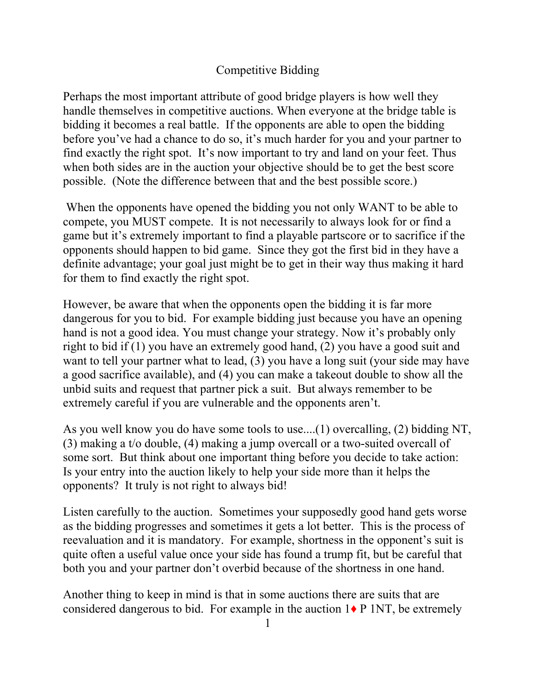## Competitive Bidding

Perhaps the most important attribute of good bridge players is how well they handle themselves in competitive auctions. When everyone at the bridge table is bidding it becomes a real battle. If the opponents are able to open the bidding before you've had a chance to do so, it's much harder for you and your partner to find exactly the right spot. It's now important to try and land on your feet. Thus when both sides are in the auction your objective should be to get the best score possible. (Note the difference between that and the best possible score.)

 When the opponents have opened the bidding you not only WANT to be able to compete, you MUST compete. It is not necessarily to always look for or find a game but it's extremely important to find a playable partscore or to sacrifice if the opponents should happen to bid game. Since they got the first bid in they have a definite advantage; your goal just might be to get in their way thus making it hard for them to find exactly the right spot.

However, be aware that when the opponents open the bidding it is far more dangerous for you to bid. For example bidding just because you have an opening hand is not a good idea. You must change your strategy. Now it's probably only right to bid if (1) you have an extremely good hand, (2) you have a good suit and want to tell your partner what to lead, (3) you have a long suit (your side may have a good sacrifice available), and (4) you can make a takeout double to show all the unbid suits and request that partner pick a suit. But always remember to be extremely careful if you are vulnerable and the opponents aren't.

As you well know you do have some tools to use....(1) overcalling, (2) bidding NT, (3) making a t/o double, (4) making a jump overcall or a two-suited overcall of some sort. But think about one important thing before you decide to take action: Is your entry into the auction likely to help your side more than it helps the opponents? It truly is not right to always bid!

Listen carefully to the auction. Sometimes your supposedly good hand gets worse as the bidding progresses and sometimes it gets a lot better. This is the process of reevaluation and it is mandatory. For example, shortness in the opponent's suit is quite often a useful value once your side has found a trump fit, but be careful that both you and your partner don't overbid because of the shortness in one hand.

Another thing to keep in mind is that in some auctions there are suits that are considered dangerous to bid. For example in the auction  $1\blacklozenge P$  1NT, be extremely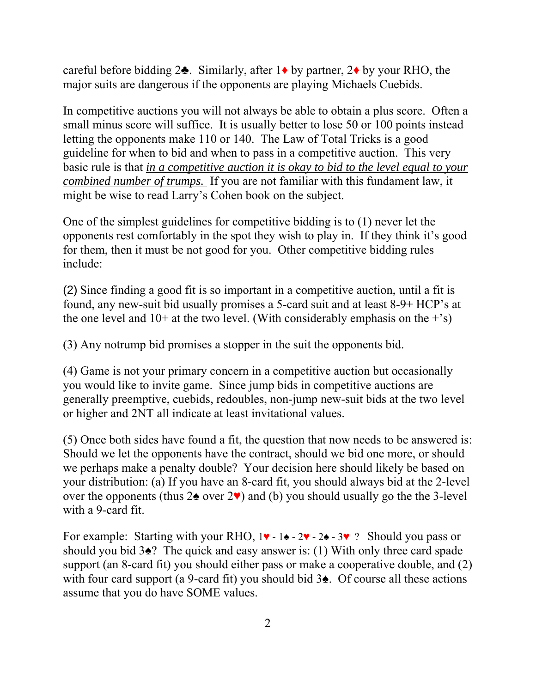careful before bidding  $2\clubsuit$ . Similarly, after  $1\spadesuit$  by partner,  $2\spadesuit$  by your RHO, the major suits are dangerous if the opponents are playing Michaels Cuebids.

In competitive auctions you will not always be able to obtain a plus score. Often a small minus score will suffice. It is usually better to lose 50 or 100 points instead letting the opponents make 110 or 140. The Law of Total Tricks is a good guideline for when to bid and when to pass in a competitive auction. This very basic rule is that *in a competitive auction it is okay to bid to the level equal to your combined number of trumps.* If you are not familiar with this fundament law, it might be wise to read Larry's Cohen book on the subject.

One of the simplest guidelines for competitive bidding is to (1) never let the opponents rest comfortably in the spot they wish to play in. If they think it's good for them, then it must be not good for you. Other competitive bidding rules include:

(2) Since finding a good fit is so important in a competitive auction, until a fit is found, any new-suit bid usually promises a 5-card suit and at least 8-9+ HCP's at the one level and  $10+$  at the two level. (With considerably emphasis on the  $+$ 's)

(3) Any notrump bid promises a stopper in the suit the opponents bid.

(4) Game is not your primary concern in a competitive auction but occasionally you would like to invite game. Since jump bids in competitive auctions are generally preemptive, cuebids, redoubles, non-jump new-suit bids at the two level or higher and 2NT all indicate at least invitational values.

(5) Once both sides have found a fit, the question that now needs to be answered is: Should we let the opponents have the contract, should we bid one more, or should we perhaps make a penalty double? Your decision here should likely be based on your distribution: (a) If you have an 8-card fit, you should always bid at the 2-level over the opponents (thus  $2\spadesuit$  over  $2\spadesuit$ ) and (b) you should usually go the the 3-level with a 9-card fit.

For example: Starting with your RHO, 1♥ - 1♠ - 2♥ - 2♠ - 3♥ ? Should you pass or should you bid 3♠? The quick and easy answer is: (1) With only three card spade support (an 8-card fit) you should either pass or make a cooperative double, and (2) with four card support (a 9-card fit) you should bid 3♠. Of course all these actions assume that you do have SOME values.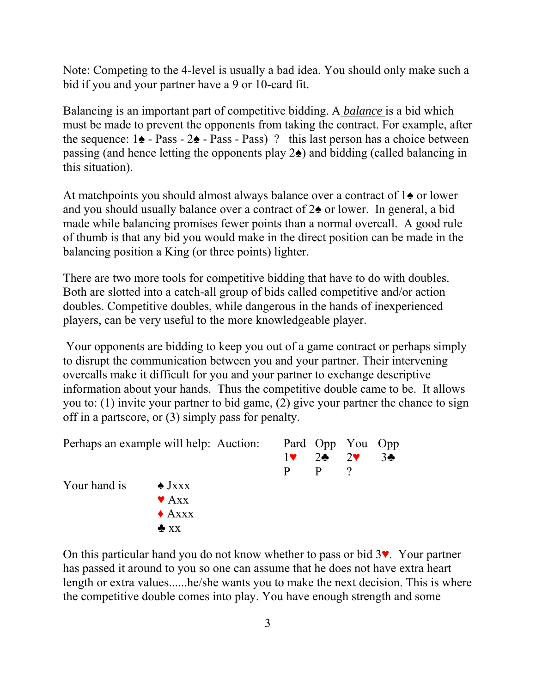Note: Competing to the 4-level is usually a bad idea. You should only make such a bid if you and your partner have a 9 or 10-card fit.

Balancing is an important part of competitive bidding. A *balance* is a bid which must be made to prevent the opponents from taking the contract. For example, after the sequence: 1♠ - Pass - 2♠ - Pass - Pass) ? this last person has a choice between passing (and hence letting the opponents play 2♠) and bidding (called balancing in this situation).

At matchpoints you should almost always balance over a contract of 1♠ or lower and you should usually balance over a contract of 2♠ or lower. In general, a bid made while balancing promises fewer points than a normal overcall. A good rule of thumb is that any bid you would make in the direct position can be made in the balancing position a King (or three points) lighter.

There are two more tools for competitive bidding that have to do with doubles. Both are slotted into a catch-all group of bids called competitive and/or action doubles. Competitive doubles, while dangerous in the hands of inexperienced players, can be very useful to the more knowledgeable player.

 Your opponents are bidding to keep you out of a game contract or perhaps simply to disrupt the communication between you and your partner. Their intervening overcalls make it difficult for you and your partner to exchange descriptive information about your hands. Thus the competitive double came to be. It allows you to: (1) invite your partner to bid game, (2) give your partner the chance to sign off in a partscore, or (3) simply pass for penalty.

| Perhaps an example will help: Auction: Pard Opp You Opp |                          |              |                |                |
|---------------------------------------------------------|--------------------------|--------------|----------------|----------------|
|                                                         |                          | $1$ V        | $2\clubsuit$ 2 | 3 <sub>o</sub> |
|                                                         |                          | <sub>p</sub> | P              |                |
| Your hand is                                            | $\triangle$ Jxxx         |              |                |                |
|                                                         | $\blacktriangledown$ Axx |              |                |                |
|                                                         | $\triangle$ Axxx         |              |                |                |
|                                                         | $\triangle$ XX           |              |                |                |

On this particular hand you do not know whether to pass or bid 3♥. Your partner has passed it around to you so one can assume that he does not have extra heart length or extra values......he/she wants you to make the next decision. This is where the competitive double comes into play. You have enough strength and some